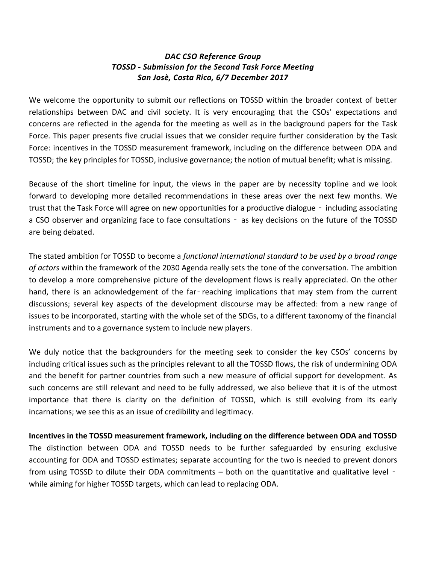# *DAC CSO Reference Group TOSSD - Submission for the Second Task Force Meeting San Josè, Costa Rica, 6/7 December 2017*

We welcome the opportunity to submit our reflections on TOSSD within the broader context of better relationships between DAC and civil society. It is very encouraging that the CSOs' expectations and concerns are reflected in the agenda for the meeting as well as in the background papers for the Task Force. This paper presents five crucial issues that we consider require further consideration by the Task Force: incentives in the TOSSD measurement framework, including on the difference between ODA and TOSSD; the key principles for TOSSD, inclusive governance; the notion of mutual benefit; what is missing.

Because of the short timeline for input, the views in the paper are by necessity topline and we look forward to developing more detailed recommendations in these areas over the next few months. We trust that the Task Force will agree on new opportunities for a productive dialogue ‑ including associating a CSO observer and organizing face to face consultations - as key decisions on the future of the TOSSD are being debated.

The stated ambition for TOSSD to become a *functional international standard to be used by a broad range of actors* within the framework of the 2030 Agenda really sets the tone of the conversation. The ambition to develop a more comprehensive picture of the development flows is really appreciated. On the other hand, there is an acknowledgement of the far-reaching implications that may stem from the current discussions; several key aspects of the development discourse may be affected: from a new range of issues to be incorporated, starting with the whole set of the SDGs, to a different taxonomy of the financial instruments and to a governance system to include new players.

We duly notice that the backgrounders for the meeting seek to consider the key CSOs' concerns by including critical issues such as the principles relevant to all the TOSSD flows, the risk of undermining ODA and the benefit for partner countries from such a new measure of official support for development. As such concerns are still relevant and need to be fully addressed, we also believe that it is of the utmost importance that there is clarity on the definition of TOSSD, which is still evolving from its early incarnations; we see this as an issue of credibility and legitimacy.

**Incentives in the TOSSD measurement framework, including on the difference between ODA and TOSSD** The distinction between ODA and TOSSD needs to be further safeguarded by ensuring exclusive accounting for ODA and TOSSD estimates; separate accounting for the two is needed to prevent donors from using TOSSD to dilute their ODA commitments – both on the quantitative and qualitative level – while aiming for higher TOSSD targets, which can lead to replacing ODA.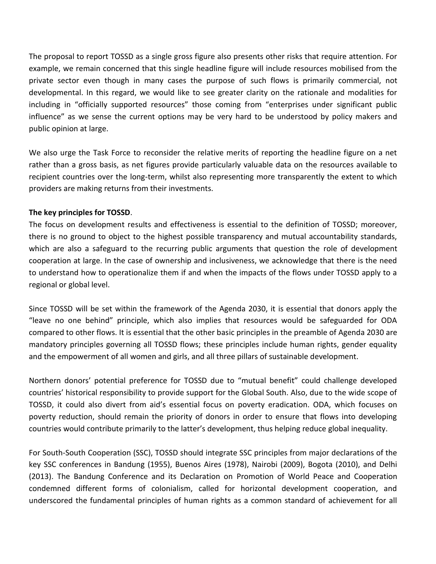The proposal to report TOSSD as a single gross figure also presents other risks that require attention. For example, we remain concerned that this single headline figure will include resources mobilised from the private sector even though in many cases the purpose of such flows is primarily commercial, not developmental. In this regard, we would like to see greater clarity on the rationale and modalities for including in "officially supported resources" those coming from "enterprises under significant public influence" as we sense the current options may be very hard to be understood by policy makers and public opinion at large.

We also urge the Task Force to reconsider the relative merits of reporting the headline figure on a net rather than a gross basis, as net figures provide particularly valuable data on the resources available to recipient countries over the long-term, whilst also representing more transparently the extent to which providers are making returns from their investments.

## **The key principles for TOSSD**.

The focus on development results and effectiveness is essential to the definition of TOSSD; moreover, there is no ground to object to the highest possible transparency and mutual accountability standards, which are also a safeguard to the recurring public arguments that question the role of development cooperation at large. In the case of ownership and inclusiveness, we acknowledge that there is the need to understand how to operationalize them if and when the impacts of the flows under TOSSD apply to a regional or global level.

Since TOSSD will be set within the framework of the Agenda 2030, it is essential that donors apply the "leave no one behind" principle, which also implies that resources would be safeguarded for ODA compared to other flows. It is essential that the other basic principles in the preamble of Agenda 2030 are mandatory principles governing all TOSSD flows; these principles include human rights, gender equality and the empowerment of all women and girls, and all three pillars of sustainable development.

Northern donors' potential preference for TOSSD due to "mutual benefit" could challenge developed countries' historical responsibility to provide support for the Global South. Also, due to the wide scope of TOSSD, it could also divert from aid's essential focus on poverty eradication. ODA, which focuses on poverty reduction, should remain the priority of donors in order to ensure that flows into developing countries would contribute primarily to the latter's development, thus helping reduce global inequality.

For South-South Cooperation (SSC), TOSSD should integrate SSC principles from major declarations of the key SSC conferences in Bandung (1955), Buenos Aires (1978), Nairobi (2009), Bogota (2010), and Delhi (2013). The Bandung Conference and its Declaration on Promotion of World Peace and Cooperation condemned different forms of colonialism, called for horizontal development cooperation, and underscored the fundamental principles of human rights as a common standard of achievement for all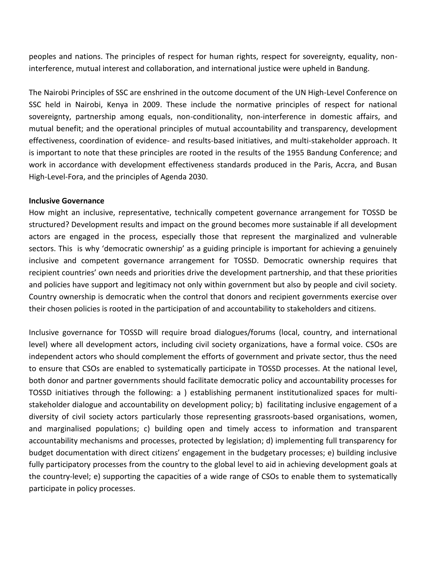peoples and nations. The principles of respect for human rights, respect for sovereignty, equality, noninterference, mutual interest and collaboration, and international justice were upheld in Bandung.

The Nairobi Principles of SSC are enshrined in the outcome document of the UN High-Level Conference on SSC held in Nairobi, Kenya in 2009. These include the normative principles of respect for national sovereignty, partnership among equals, non-conditionality, non-interference in domestic affairs, and mutual benefit; and the operational principles of mutual accountability and transparency, development effectiveness, coordination of evidence- and results-based initiatives, and multi-stakeholder approach. It is important to note that these principles are rooted in the results of the 1955 Bandung Conference; and work in accordance with development effectiveness standards produced in the Paris, Accra, and Busan High-Level-Fora, and the principles of Agenda 2030.

#### **Inclusive Governance**

How might an inclusive, representative, technically competent governance arrangement for TOSSD be structured? Development results and impact on the ground becomes more sustainable if all development actors are engaged in the process, especially those that represent the marginalized and vulnerable sectors. This is why 'democratic ownership' as a guiding principle is important for achieving a genuinely inclusive and competent governance arrangement for TOSSD. Democratic ownership requires that recipient countries' own needs and priorities drive the development partnership, and that these priorities and policies have support and legitimacy not only within government but also by people and civil society. Country ownership is democratic when the control that donors and recipient governments exercise over their chosen policies is rooted in the participation of and accountability to stakeholders and citizens.

Inclusive governance for TOSSD will require broad dialogues/forums (local, country, and international level) where all development actors, including civil society organizations, have a formal voice. CSOs are independent actors who should complement the efforts of government and private sector, thus the need to ensure that CSOs are enabled to systematically participate in TOSSD processes. At the national level, both donor and partner governments should facilitate democratic policy and accountability processes for TOSSD initiatives through the following: a ) establishing permanent institutionalized spaces for multistakeholder dialogue and accountability on development policy; b) facilitating inclusive engagement of a diversity of civil society actors particularly those representing grassroots-based organisations, women, and marginalised populations; c) building open and timely access to information and transparent accountability mechanisms and processes, protected by legislation; d) implementing full transparency for budget documentation with direct citizens' engagement in the budgetary processes; e) building inclusive fully participatory processes from the country to the global level to aid in achieving development goals at the country-level; e) supporting the capacities of a wide range of CSOs to enable them to systematically participate in policy processes.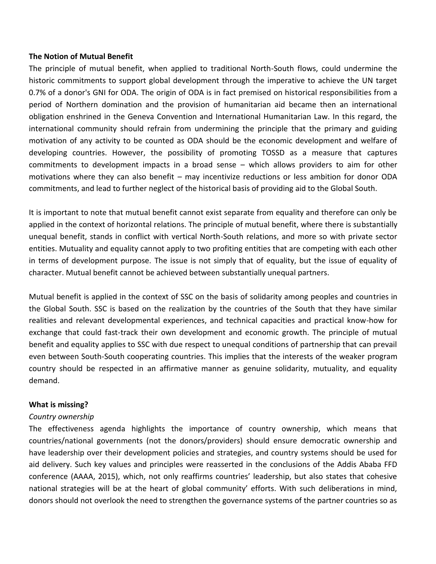#### **The Notion of Mutual Benefit**

The principle of mutual benefit, when applied to traditional North-South flows, could undermine the historic commitments to support global development through the imperative to achieve the UN target 0.7% of a donor's GNI for ODA. The origin of ODA is in fact premised on historical responsibilities from a period of Northern domination and the provision of humanitarian aid became then an international obligation enshrined in the Geneva Convention and International Humanitarian Law. In this regard, the international community should refrain from undermining the principle that the primary and guiding motivation of any activity to be counted as ODA should be the economic development and welfare of developing countries. However, the possibility of promoting TOSSD as a measure that captures commitments to development impacts in a broad sense – which allows providers to aim for other motivations where they can also benefit – may incentivize reductions or less ambition for donor ODA commitments, and lead to further neglect of the historical basis of providing aid to the Global South.

It is important to note that mutual benefit cannot exist separate from equality and therefore can only be applied in the context of horizontal relations. The principle of mutual benefit, where there is substantially unequal benefit, stands in conflict with vertical North-South relations, and more so with private sector entities. Mutuality and equality cannot apply to two profiting entities that are competing with each other in terms of development purpose. The issue is not simply that of equality, but the issue of equality of character. Mutual benefit cannot be achieved between substantially unequal partners.

Mutual benefit is applied in the context of SSC on the basis of solidarity among peoples and countries in the Global South. SSC is based on the realization by the countries of the South that they have similar realities and relevant developmental experiences, and technical capacities and practical know-how for exchange that could fast-track their own development and economic growth. The principle of mutual benefit and equality applies to SSC with due respect to unequal conditions of partnership that can prevail even between South-South cooperating countries. This implies that the interests of the weaker program country should be respected in an affirmative manner as genuine solidarity, mutuality, and equality demand.

## **What is missing?**

## *Country ownership*

The effectiveness agenda highlights the importance of country ownership, which means that countries/national governments (not the donors/providers) should ensure democratic ownership and have leadership over their development policies and strategies, and country systems should be used for aid delivery. Such key values and principles were reasserted in the conclusions of the Addis Ababa FFD conference (AAAA, 2015), which, not only reaffirms countries' leadership, but also states that cohesive national strategies will be at the heart of global community' efforts. With such deliberations in mind, donors should not overlook the need to strengthen the governance systems of the partner countries so as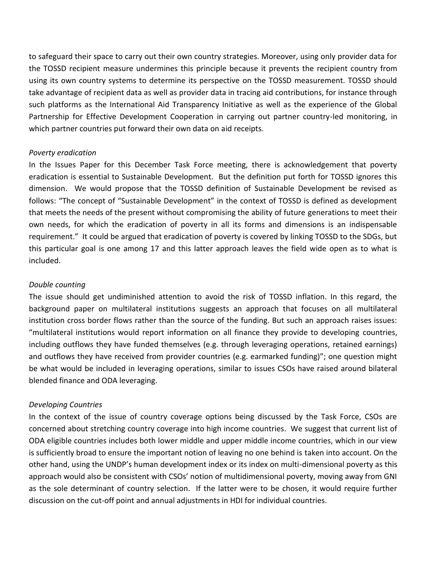to safeguard their space to carry out their own country strategies. Moreover, using only provider data for the TOSSD recipient measure undermines this principle because it prevents the recipient country from using its own country systems to determine its perspective on the TOSSD measurement. TOSSD should take advantage of recipient data as well as provider data in tracing aid contributions, for instance through such platforms as the International Aid Transparency Initiative as well as the experience of the Global Partnership for Effective Development Cooperation in carrying out partner country-led monitoring, in which partner countries put forward their own data on aid receipts.

#### *Poverty eradication*

In the Issues Paper for this December Task Force meeting, there is acknowledgement that poverty eradication is essential to Sustainable Development. But the definition put forth for TOSSD ignores this dimension. We would propose that the TOSSD definition of Sustainable Development be revised as follows: "The concept of "Sustainable Development" in the context of TOSSD is defined as development that meets the needs of the present without compromising the ability of future generations to meet their own needs, for which the eradication of poverty in all its forms and dimensions is an indispensable requirement." It could be argued that eradication of poverty is covered by linking TOSSD to the SDGs, but this particular goal is one among 17 and this latter approach leaves the field wide open as to what is included.

#### *Double counting*

The issue should get undiminished attention to avoid the risk of TOSSD inflation. In this regard, the background paper on multilateral institutions suggests an approach that focuses on all multilateral institution cross border flows rather than the source of the funding. But such an approach raises issues: "multilateral institutions would report information on all finance they provide to developing countries, including outflows they have funded themselves (e.g. through leveraging operations, retained earnings) and outflows they have received from provider countries (e.g. earmarked funding)"; one question might be what would be included in leveraging operations, similar to issues CSOs have raised around bilateral blended finance and ODA leveraging.

## *Developing Countries*

In the context of the issue of country coverage options being discussed by the Task Force, CSOs are concerned about stretching country coverage into high income countries. We suggest that current list of ODA eligible countries includes both lower middle and upper middle income countries, which in our view is sufficiently broad to ensure the important notion of leaving no one behind is taken into account. On the other hand, using the UNDP's human development index or its index on multi-dimensional poverty as this approach would also be consistent with CSOs' notion of multidimensional poverty, moving away from GNI as the sole determinant of country selection. If the latter were to be chosen, it would require further discussion on the cut-off point and annual adjustments in HDI for individual countries.